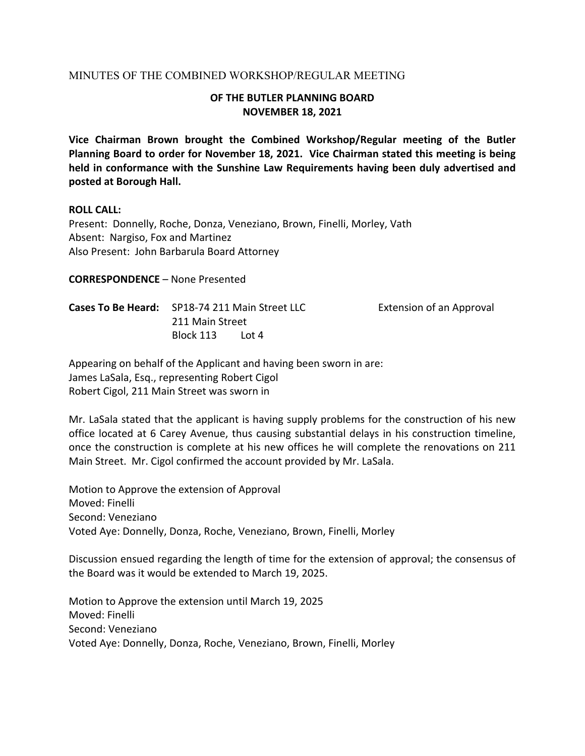## MINUTES OF THE COMBINED WORKSHOP/REGULAR MEETING

## **OF THE BUTLER PLANNING BOARD NOVEMBER 18, 2021**

**Vice Chairman Brown brought the Combined Workshop/Regular meeting of the Butler Planning Board to order for November 18, 2021. Vice Chairman stated this meeting is being held in conformance with the Sunshine Law Requirements having been duly advertised and posted at Borough Hall.** 

### **ROLL CALL:**

Present: Donnelly, Roche, Donza, Veneziano, Brown, Finelli, Morley, Vath Absent: Nargiso, Fox and Martinez Also Present: John Barbarula Board Attorney

**CORRESPONDENCE** – None Presented

**Cases To Be Heard:**  SP18‐74 211 Main Street LLC Extension of an Approval 211 Main Street Block 113 Lot 4

Appearing on behalf of the Applicant and having been sworn in are: James LaSala, Esq., representing Robert Cigol Robert Cigol, 211 Main Street was sworn in

Mr. LaSala stated that the applicant is having supply problems for the construction of his new office located at 6 Carey Avenue, thus causing substantial delays in his construction timeline, once the construction is complete at his new offices he will complete the renovations on 211 Main Street. Mr. Cigol confirmed the account provided by Mr. LaSala.

Motion to Approve the extension of Approval Moved: Finelli Second: Veneziano Voted Aye: Donnelly, Donza, Roche, Veneziano, Brown, Finelli, Morley

Discussion ensued regarding the length of time for the extension of approval; the consensus of the Board was it would be extended to March 19, 2025.

Motion to Approve the extension until March 19, 2025 Moved: Finelli Second: Veneziano Voted Aye: Donnelly, Donza, Roche, Veneziano, Brown, Finelli, Morley